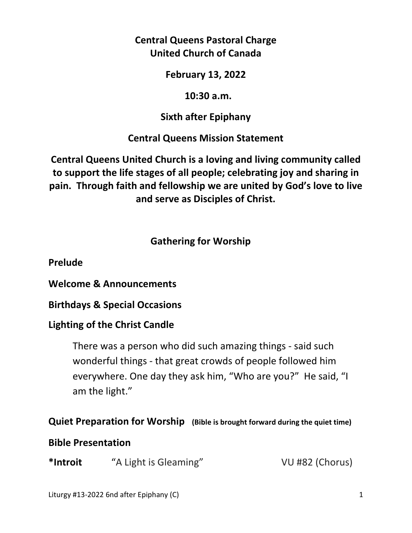# **Central Queens Pastoral Charge United Church of Canada**

**February 13, 2022** 

 **10:30 a.m.** 

**Sixth after Epiphany** 

**Central Queens Mission Statement** 

**Central Queens United Church is a loving and living community called to support the life stages of all people; celebrating joy and sharing in pain. Through faith and fellowship we are united by God's love to live and serve as Disciples of Christ.**

# **Gathering for Worship**

**Prelude** 

**Welcome & Announcements** 

**Birthdays & Special Occasions** 

# **Lighting of the Christ Candle**

There was a person who did such amazing things - said such wonderful things - that great crowds of people followed him everywhere. One day they ask him, "Who are you?" He said, "I am the light."

## **Quiet Preparation for Worship (Bible is brought forward during the quiet time)**

# **Bible Presentation**

**\*Introit** "A Light is Gleaming" VU #82 (Chorus)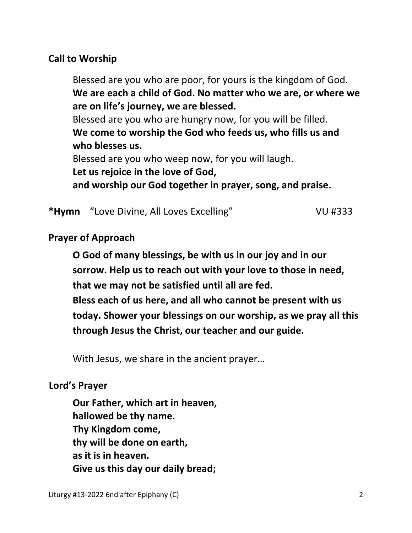## **Call to Worship**

 Blessed are you who are poor, for yours is the kingdom of God.  **We are each a child of God. No matter who we are, or where we are on life's journey, we are blessed.** Blessed are you who are hungry now, for you will be filled.  **We come to worship the God who feeds us, who fills us and who blesses us.**

Blessed are you who weep now, for you will laugh.

 **Let us rejoice in the love of God,** 

 **and worship our God together in prayer, song, and praise.**

\*Hymn 
"Love Divine, All Loves Excelling" VU #333

#### **Prayer of Approach**

 **O God of many blessings, be with us in our joy and in our sorrow. Help us to reach out with your love to those in need, that we may not be satisfied until all are fed.** 

 **Bless each of us here, and all who cannot be present with us today. Shower your blessings on our worship, as we pray all this through Jesus the Christ, our teacher and our guide.** 

With Jesus, we share in the ancient prayer…

### **Lord's Prayer**

**Our Father, which art in heaven, hallowed be thy name. Thy Kingdom come, thy will be done on earth, as it is in heaven. Give us this day our daily bread;**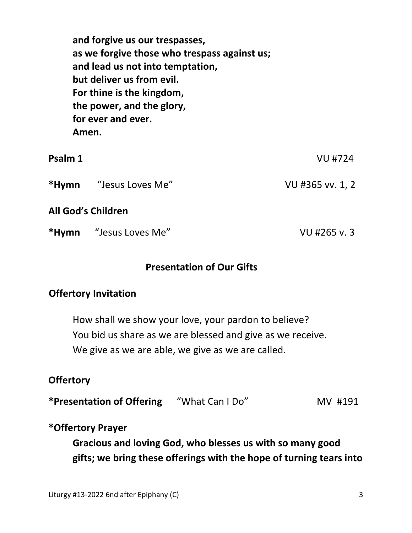| Amen.   | and forgive us our trespasses,<br>as we forgive those who trespass against us;<br>and lead us not into temptation,<br>but deliver us from evil.<br>For thine is the kingdom,<br>the power, and the glory,<br>for ever and ever. |                  |
|---------|---------------------------------------------------------------------------------------------------------------------------------------------------------------------------------------------------------------------------------|------------------|
| Psalm 1 |                                                                                                                                                                                                                                 | <b>VU #724</b>   |
|         | <b>*Hymn</b> "Jesus Loves Me"                                                                                                                                                                                                   | VU #365 vv. 1, 2 |
|         | <b>All God's Children</b>                                                                                                                                                                                                       |                  |
| *Hymn   | "Jesus Loves Me"                                                                                                                                                                                                                | VU #265 v. 3     |

### **Presentation of Our Gifts**

### **Offertory Invitation**

 How shall we show your love, your pardon to believe? You bid us share as we are blessed and give as we receive. We give as we are able, we give as we are called.

#### **Offertory**

**\*Presentation of Offering** "What Can I Do" MV #191

#### **\*Offertory Prayer**

 **Gracious and loving God, who blesses us with so many good gifts; we bring these offerings with the hope of turning tears into**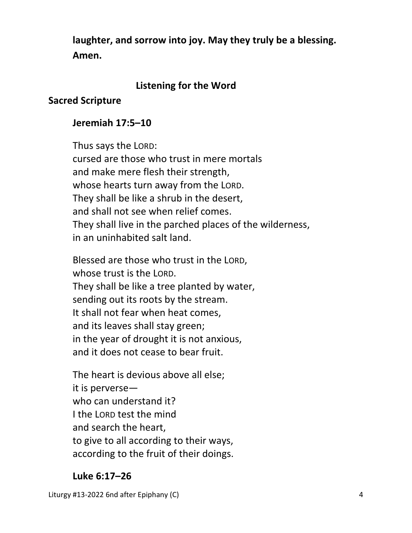**laughter, and sorrow into joy. May they truly be a blessing. Amen.** 

## **Listening for the Word**

## **Sacred Scripture**

## **Jeremiah 17:5–10**

 Thus says the LORD: cursed are those who trust in mere mortals and make mere flesh their strength, whose hearts turn away from the LORD. They shall be like a shrub in the desert, and shall not see when relief comes. They shall live in the parched places of the wilderness, in an uninhabited salt land.

Blessed are those who trust in the LORD, whose trust is the LORD. They shall be like a tree planted by water, sending out its roots by the stream. It shall not fear when heat comes, and its leaves shall stay green; in the year of drought it is not anxious, and it does not cease to bear fruit.

The heart is devious above all else; it is perverse who can understand it? I the LORD test the mind and search the heart, to give to all according to their ways, according to the fruit of their doings.

## **Luke 6:17–26**

Liturgy #13-2022 6nd after Epiphany (C) 4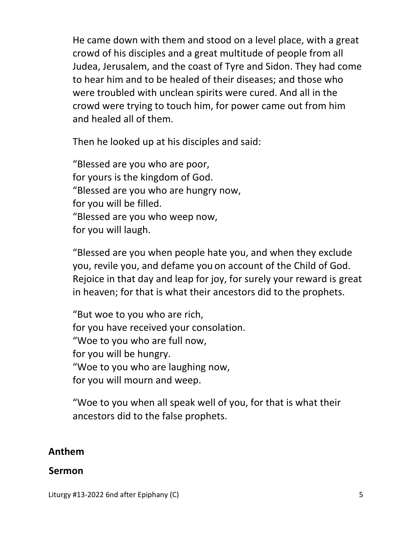He came down with them and stood on a level place, with a great crowd of his disciples and a great multitude of people from all Judea, Jerusalem, and the coast of Tyre and Sidon. They had come to hear him and to be healed of their diseases; and those who were troubled with unclean spirits were cured. And all in the crowd were trying to touch him, for power came out from him and healed all of them.

Then he looked up at his disciples and said:

 "Blessed are you who are poor, for yours is the kingdom of God. "Blessed are you who are hungry now, for you will be filled. "Blessed are you who weep now, for you will laugh.

"Blessed are you when people hate you, and when they exclude you, revile you, and defame you on account of the Child of God. Rejoice in that day and leap for joy, for surely your reward is great in heaven; for that is what their ancestors did to the prophets.

"But woe to you who are rich, for you have received your consolation. "Woe to you who are full now, for you will be hungry. "Woe to you who are laughing now, for you will mourn and weep.

"Woe to you when all speak well of you, for that is what their ancestors did to the false prophets.

### **Anthem**

#### **Sermon**

Liturgy #13-2022 6nd after Epiphany (C) 5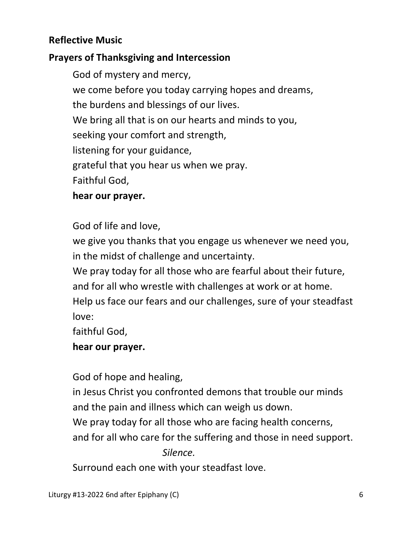## **Reflective Music**

## **Prayers of Thanksgiving and Intercession**

 God of mystery and mercy, we come before you today carrying hopes and dreams, the burdens and blessings of our lives. We bring all that is on our hearts and minds to you, seeking your comfort and strength, listening for your guidance, grateful that you hear us when we pray. Faithful God,

### **hear our prayer.**

## God of life and love,

 we give you thanks that you engage us whenever we need you, in the midst of challenge and uncertainty.

 We pray today for all those who are fearful about their future, and for all who wrestle with challenges at work or at home. Help us face our fears and our challenges, sure of your steadfast love:

faithful God,

## **hear our prayer.**

God of hope and healing,

 in Jesus Christ you confronted demons that trouble our minds and the pain and illness which can weigh us down.

We pray today for all those who are facing health concerns,

and for all who care for the suffering and those in need support.

*Silence.* 

Surround each one with your steadfast love.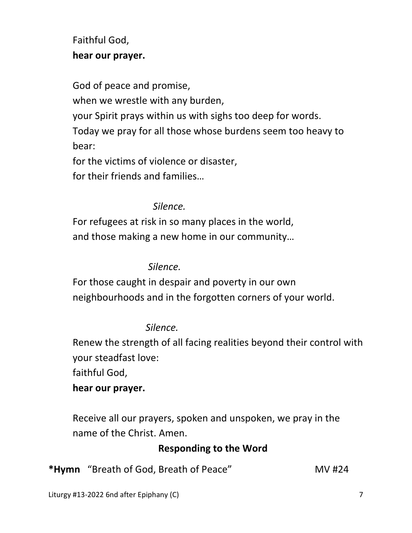# Faithful God,  **hear our prayer.**

 God of peace and promise, when we wrestle with any burden, your Spirit prays within us with sighs too deep for words. Today we pray for all those whose burdens seem too heavy to bear: for the victims of violence or disaster,

for their friends and families…

## *Silence.*

 For refugees at risk in so many places in the world, and those making a new home in our community…

## *Silence.*

 For those caught in despair and poverty in our own neighbourhoods and in the forgotten corners of your world.

# *Silence.*

 Renew the strength of all facing realities beyond their control with your steadfast love:

faithful God,

# **hear our prayer.**

 Receive all our prayers, spoken and unspoken, we pray in the name of the Christ. Amen.

# **Responding to the Word**

**\*Hymn** "Breath of God, Breath of Peace" MV #24